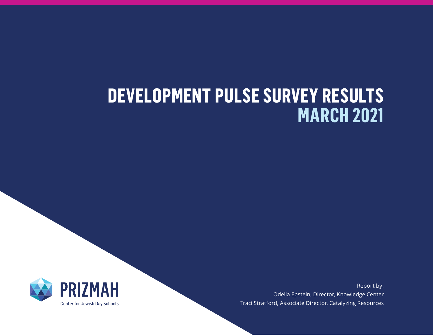# **DEVELOPMENT PULSE SURVEY RESULTS MARCH 2021**



Report by: Odelia Epstein, Director, Knowledge Center Traci Stratford, Associate Director, Catalyzing Resources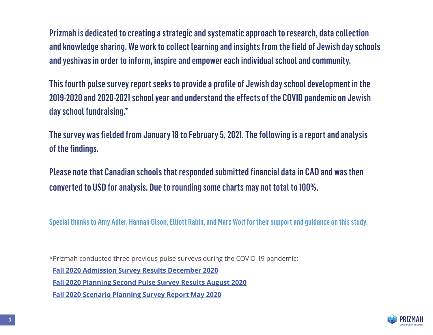Prizmah is dedicated to creating a strategic and systematic approach to research, data collection and knowledge sharing. We work to collect learning and insights from the field of Jewish day schools and yeshivas in order to inform, inspire and empower each individual school and community.

This fourth pulse survey report seeks to provide a profile of Jewish day school development in the 2019-2020 and 2020-2021 school year and understand the effects of the COVID pandemic on Jewish day school fundraising.\*

The survey was fielded from January 18 to February 5, 2021. The following is a report and analysis of the findings.

Please note that Canadian schools that responded submitted financial data in CAD and was then converted to USD for analysis. Due to rounding some charts may not total to 100%.

Special thanks to Amy Adler, Hannah Olson, Elliott Rabin, and Marc Wolf for their support and guidance on this study.

\*Prizmah conducted three previous pulse surveys during the COVID-19 pandemic:

**[Fall 2020 Admission Survey Results December 2020](https://prizmah.org/knowledge/resource/fall-2020-enrollment-survey-results)**

**[Fall 2020 Planning Second Pulse Survey Results August 2020](https://prizmah.org/knowledge/resource/fall-2020-planning-second-pulse-survey-results)**

**[Fall 2020 Scenario Planning Survey Report May 2020](https://prizmah.org/knowledge/resource/fall-2020-scenario-planning-survey-report)**

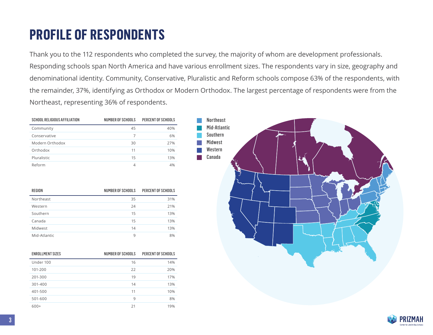#### **PROFILE OF RESPONDENTS**

Thank you to the 112 respondents who completed the survey, the majority of whom are development professionals. Responding schools span North America and have various enrollment sizes. The respondents vary in size, geography and denominational identity. Community, Conservative, Pluralistic and Reform schools compose 63% of the respondents, with the remainder, 37%, identifying as Orthodox or Modern Orthodox. The largest percentage of respondents were from the Northeast, representing 36% of respondents.

| <b>SCHOOL RELIGIOUS AFFILIATION</b> | NUMBER OF SCHOOLS | PERCENT OF SCHOOLS |
|-------------------------------------|-------------------|--------------------|
| Community                           | 45                | 40%                |
| Conservative                        |                   | 6%                 |
| Modern Orthodox                     | 30                | 27%                |
| Orthodox                            | 11                | 10%                |
| Pluralistic                         | 15                | 13%                |
| Reform                              | 4                 | 4%                 |

| REGION       | NUMBER OF SCHOOLS | <b>PERCENT OF SCHOOLS</b> |
|--------------|-------------------|---------------------------|
| Northeast    | 35                | 31%                       |
| Western      | 24                | 21%                       |
| Southern     | 15                | 13%                       |
| Canada       | 15                | 13%                       |
| Midwest      | 14                | 13%                       |
| Mid-Atlantic | 9                 | 8%                        |

| <b>ENROLLMENT SIZES</b> | NUMBER OF SCHOOLS | PERCENT OF SCHOOLS |
|-------------------------|-------------------|--------------------|
| Under 100               | 16                | 14%                |
| 101-200                 | 22                | 20%                |
| 201-300                 | 19                | 17%                |
| 301-400                 | 14                | 13%                |
| 401-500                 | 11                | 10%                |
| 501-600                 | 9                 | 8%                 |
| $600+$                  | 21                | 19%                |



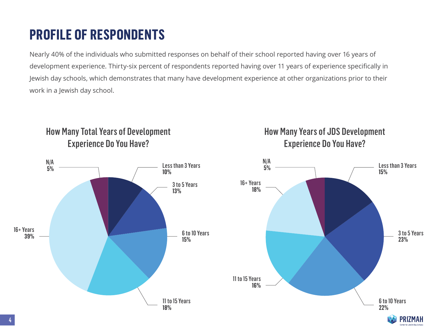## **PROFILE OF RESPONDENTS**

Nearly 40% of the individuals who submitted responses on behalf of their school reported having over 16 years of development experience. Thirty-six percent of respondents reported having over 11 years of experience specifically in Jewish day schools, which demonstrates that many have development experience at other organizations prior to their work in a Jewish day school.



How Many Years of JDS Development

Experience Do You Have?

Experience Do You Have?

How Many Total Years of Development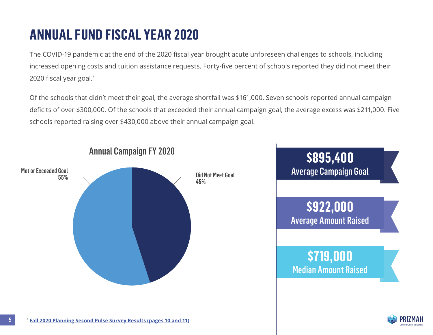The COVID-19 pandemic at the end of the 2020 fiscal year brought acute unforeseen challenges to schools, including increased opening costs and tuition assistance requests. Forty-five percent of schools reported they did not meet their 2020 fiscal year goal.\*

Of the schools that didn't meet their goal, the average shortfall was \$161,000. Seven schools reported annual campaign deficits of over \$300,000. Of the schools that exceeded their annual campaign goal, the average excess was \$211,000. Five schools reported raising over \$430,000 above their annual campaign goal.

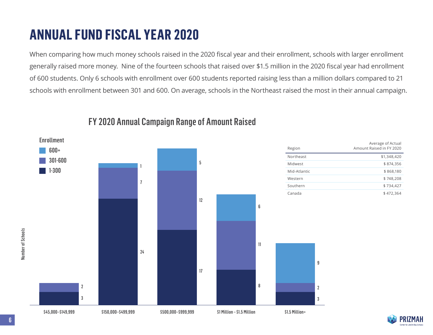When comparing how much money schools raised in the 2020 fiscal year and their enrollment, schools with larger enrollment generally raised more money. Nine of the fourteen schools that raised over \$1.5 million in the 2020 fiscal year had enrollment of 600 students. Only 6 schools with enrollment over 600 students reported raising less than a million dollars compared to 21 schools with enrollment between 301 and 600. On average, schools in the Northeast raised the most in their annual campaign.



#### FY 2020 Annual Campaign Range of Amount Raised

6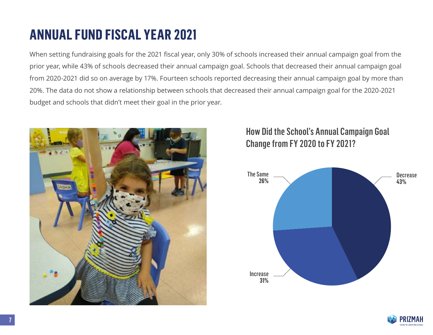When setting fundraising goals for the 2021 fiscal year, only 30% of schools increased their annual campaign goal from the prior year, while 43% of schools decreased their annual campaign goal. Schools that decreased their annual campaign goal from 2020-2021 did so on average by 17%. Fourteen schools reported decreasing their annual campaign goal by more than 20%. The data do not show a relationship between schools that decreased their annual campaign goal for the 2020-2021 budget and schools that didn't meet their goal in the prior year.



#### How Did the School's Annual Campaign Goal Change from FY 2020 to FY 2021?



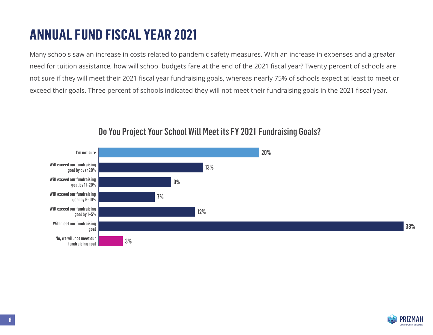Many schools saw an increase in costs related to pandemic safety measures. With an increase in expenses and a greater need for tuition assistance, how will school budgets fare at the end of the 2021 fiscal year? Twenty percent of schools are not sure if they will meet their 2021 fiscal year fundraising goals, whereas nearly 75% of schools expect at least to meet or exceed their goals. Three percent of schools indicated they will not meet their fundraising goals in the 2021 fiscal year.



#### Do You Project Your School Will Meet its FY 2021 Fundraising Goals?

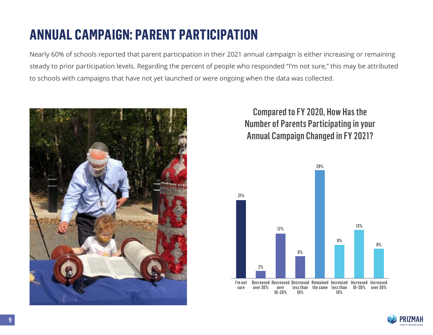#### **ANNUAL CAMPAIGN: PARENT PARTICIPATION**

Nearly 60% of schools reported that parent participation in their 2021 annual campaign is either increasing or remaining steady to prior participation levels. Regarding the percent of people who responded "I'm not sure," this may be attributed to schools with campaigns that have not yet launched or were ongoing when the data was collected.



Compared to FY 2020, How Has the Number of Parents Participating in your Annual Campaign Changed in FY 2021?



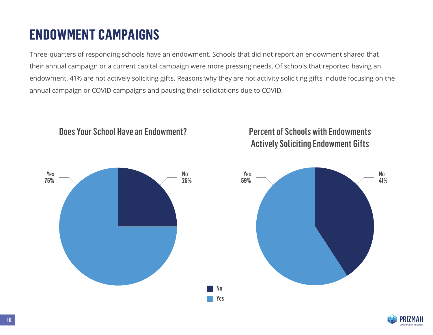#### **ENDOWMENT CAMPAIGNS**

Three-quarters of responding schools have an endowment. Schools that did not report an endowment shared that their annual campaign or a current capital campaign were more pressing needs. Of schools that reported having an endowment, 41% are not actively soliciting gifts. Reasons why they are not activity soliciting gifts include focusing on the annual campaign or COVID campaigns and pausing their solicitations due to COVID.



#### Does Your School Have an Endowment? Percent of Schools with Endowments Actively Soliciting Endowment Gifts

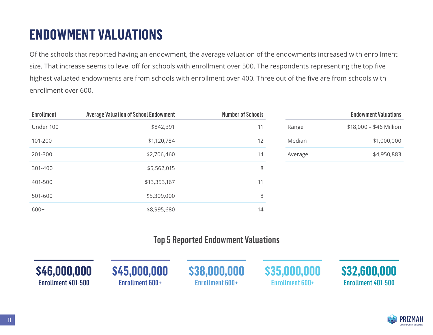## **ENDOWMENT VALUATIONS**

Of the schools that reported having an endowment, the average valuation of the endowments increased with enrollment size. That increase seems to level off for schools with enrollment over 500. The respondents representing the top five highest valuated endowments are from schools with enrollment over 400. Three out of the five are from schools with enrollment over 600.

| <b>Enrollment</b> | <b>Average Valuation of School Endowment</b> | <b>Number of Schools</b> |         | <b>Endowment Valuations</b> |
|-------------------|----------------------------------------------|--------------------------|---------|-----------------------------|
| Under 100         | \$842,391                                    | 11                       | Range   | \$18,000 - \$46 Million     |
| 101-200           | \$1,120,784                                  | 12                       | Median  | \$1,000,000                 |
| 201-300           | \$2,706,460                                  | 14                       | Average | \$4,950,883                 |
| 301-400           | \$5,562,015                                  | 8                        |         |                             |
| 401-500           | \$13,353,167                                 | 11                       |         |                             |
| 501-600           | \$5,309,000                                  | 8                        |         |                             |
| $600+$            | \$8,995,680                                  | 14                       |         |                             |

#### Top 5 Reported Endowment Valuations

| \$46,000,000              | \$45,000,000    | \$38,000,000           | \$35,000,000           | \$32,600,000              |
|---------------------------|-----------------|------------------------|------------------------|---------------------------|
| <b>Enrollment 401-500</b> | Enrollment 600+ | <b>Enrollment 600+</b> | <b>Enrollment 600+</b> | <b>Enrollment 401-500</b> |
|                           |                 |                        |                        |                           |

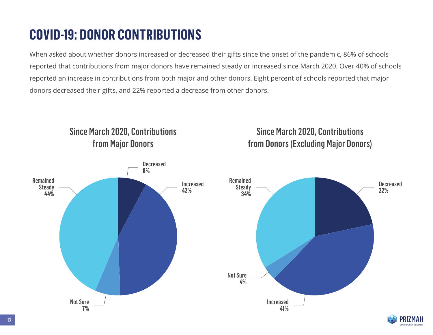## **COVID-19: DONOR CONTRIBUTIONS**

When asked about whether donors increased or decreased their gifts since the onset of the pandemic, 86% of schools reported that contributions from major donors have remained steady or increased since March 2020. Over 40% of schools reported an increase in contributions from both major and other donors. Eight percent of schools reported that major donors decreased their gifts, and 22% reported a decrease from other donors.

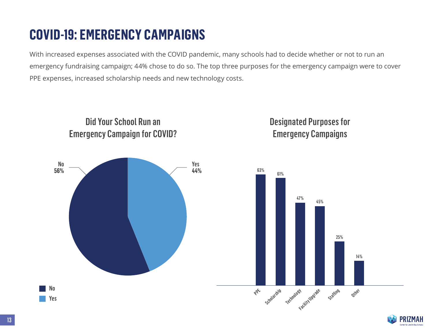## **COVID-19: EMERGENCY CAMPAIGNS**

With increased expenses associated with the COVID pandemic, many schools had to decide whether or not to run an emergency fundraising campaign; 44% chose to do so. The top three purposes for the emergency campaign were to cover PPE expenses, increased scholarship needs and new technology costs.



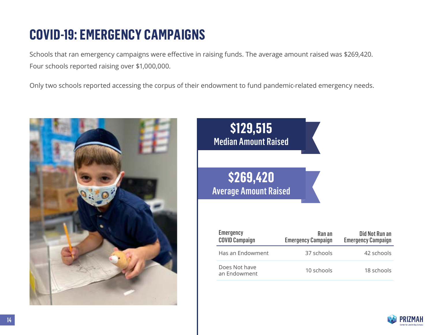#### **COVID-19: EMERGENCY CAMPAIGNS**

Schools that ran emergency campaigns were effective in raising funds. The average amount raised was \$269,420. Four schools reported raising over \$1,000,000.

Only two schools reported accessing the corpus of their endowment to fund pandemic-related emergency needs.





| <b>Emergency</b><br><b>COVID Campaign</b> | Ran an<br><b>Emergency Campaign</b> | Did Not Run an<br><b>Emergency Campaign</b> |
|-------------------------------------------|-------------------------------------|---------------------------------------------|
| Has an Endowment                          | 37 schools                          | 42 schools                                  |
| Does Not have<br>an Endowment             | 10 schools                          | 18 schools                                  |

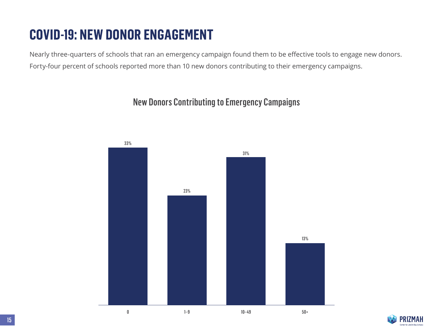## **COVID-19: NEW DONOR ENGAGEMENT**

Nearly three-quarters of schools that ran an emergency campaign found them to be effective tools to engage new donors. Forty-four percent of schools reported more than 10 new donors contributing to their emergency campaigns.

## New Donors Contributing to Emergency Campaigns



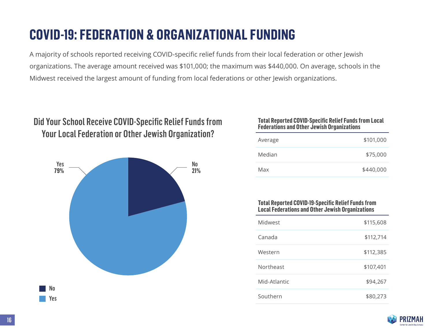#### **COVID-19: FEDERATION & ORGANIZATIONAL FUNDING**

A majority of schools reported receiving COVID-specific relief funds from their local federation or other Jewish organizations. The average amount received was \$101,000; the maximum was \$440,000. On average, schools in the Midwest received the largest amount of funding from local federations or other Jewish organizations.

#### Did Your School Receive COVID-Specific Relief Funds from Your Local Federation or Other Jewish Organization?



#### **Total Reported COVID-Specific Relief Funds from Local Federations and Other Jewish Organizations**

| Average | \$101,000 |
|---------|-----------|
| Median  | \$75,000  |
| Max     | \$440,000 |

#### **Total Reported COVID-19-Specific Relief Funds from Local Federations and Other Jewish Organizations**

| Midwest      | \$115,608 |
|--------------|-----------|
| Canada       | \$112,714 |
| Western      | \$112,385 |
| Northeast    | \$107,401 |
| Mid-Atlantic | \$94,267  |
| Southern     | \$80,273  |

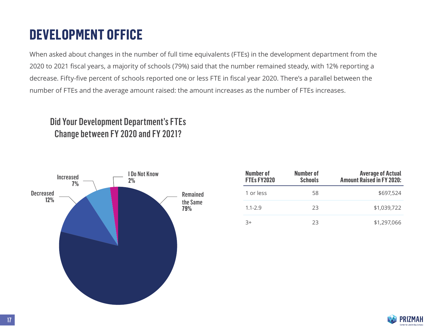## **DEVELOPMENT OFFICE**

When asked about changes in the number of full time equivalents (FTEs) in the development department from the 2020 to 2021 fiscal years, a majority of schools (79%) said that the number remained steady, with 12% reporting a decrease. Fifty-five percent of schools reported one or less FTE in fiscal year 2020. There's a parallel between the number of FTEs and the average amount raised: the amount increases as the number of FTEs increases.

#### Did Your Development Department's FTEs Change between FY 2020 and FY 2021?



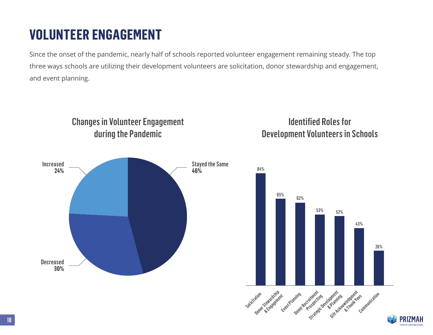#### **VOLUNTEER ENGAGEMENT**

Since the onset of the pandemic, nearly half of schools reported volunteer engagement remaining steady. The top three ways schools are utilizing their development volunteers are solicitation, donor stewardship and engagement, and event planning.

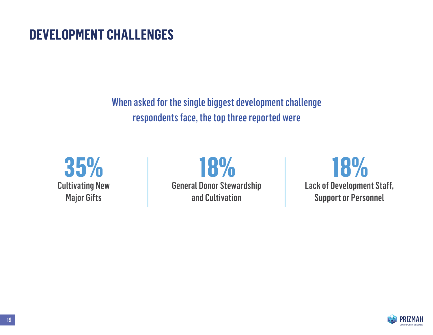#### **DEVELOPMENT CHALLENGES**

When asked for the single biggest development challenge respondents face, the top three reported were



**18%** General Donor Stewardship and Cultivation

**18%** Lack of Development Staff, Support or Personnel

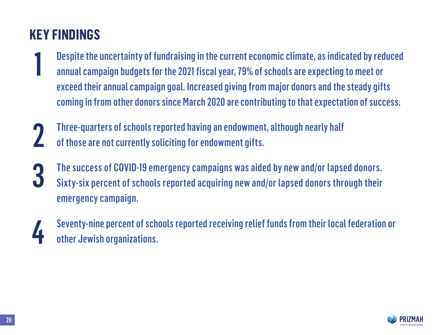## **KEY FINDINGS**

- Despite the uncertainty of fundraising in the current economic climate, as indicated by reduced annual campaign budgets for the 2021 fiscal year, 79% of schools are expecting to meet or exceed their annual campaign goal. Increased giving from major donors and the steady gifts coming in from other donors since March 2020 are contributing to that expectation of success. 1
- Three-quarters of schools reported having an endowment, although nearly half of those are not currently soliciting for endowment gifts. 2
- The success of COVID-19 emergency campaigns was aided by new and/or lapsed donors. Sixty-six percent of schools reported acquiring new and/or lapsed donors through their emergency campaign. 3
- 4
- Seventy-nine percent of schools reported receiving relief funds from their local federation or other Jewish organizations.